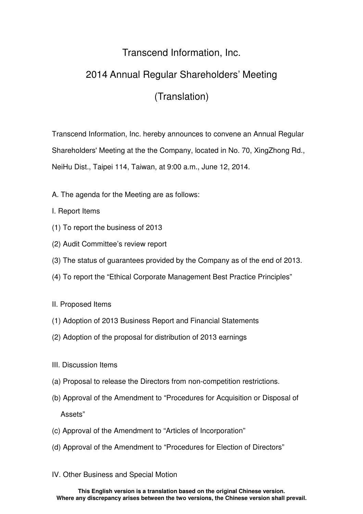## Transcend Information, Inc.

## 2014 Annual Regular Shareholders' Meeting

## (Translation)

Transcend Information, Inc. hereby announces to convene an Annual Regular Shareholders' Meeting at the the Company, located in No. 70, XingZhong Rd., NeiHu Dist., Taipei 114, Taiwan, at 9:00 a.m., June 12, 2014.

- A. The agenda for the Meeting are as follows:
- I. Report Items
- (1) To report the business of 2013
- (2) Audit Committee's review report
- (3) The status of guarantees provided by the Company as of the end of 2013.
- (4) To report the "Ethical Corporate Management Best Practice Principles"
- II. Proposed Items
- (1) Adoption of 2013 Business Report and Financial Statements
- (2) Adoption of the proposal for distribution of 2013 earnings
- III. Discussion Items
- (a) Proposal to release the Directors from non-competition restrictions.
- (b) Approval of the Amendment to "Procedures for Acquisition or Disposal of Assets"
- (c) Approval of the Amendment to "Articles of Incorporation"
- (d) Approval of the Amendment to "Procedures for Election of Directors"
- IV. Other Business and Special Motion